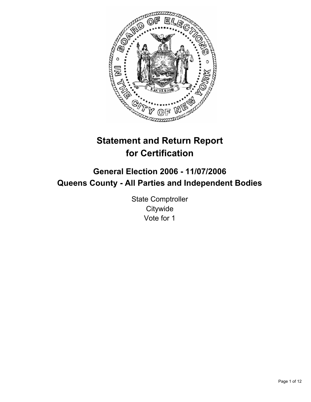

# **Statement and Return Report for Certification**

## **General Election 2006 - 11/07/2006 Queens County - All Parties and Independent Bodies**

State Comptroller **Citywide** Vote for 1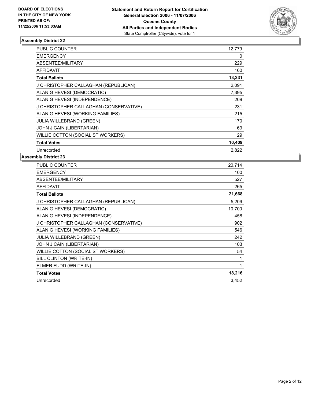

| <b>PUBLIC COUNTER</b>                  | 12,779 |
|----------------------------------------|--------|
| <b>EMERGENCY</b>                       | 0      |
| ABSENTEE/MILITARY                      | 229    |
| <b>AFFIDAVIT</b>                       | 160    |
| <b>Total Ballots</b>                   | 13,231 |
| J CHRISTOPHER CALLAGHAN (REPUBLICAN)   | 2,091  |
| ALAN G HEVESI (DEMOCRATIC)             | 7,395  |
| ALAN G HEVESI (INDEPENDENCE)           | 209    |
| J CHRISTOPHER CALLAGHAN (CONSERVATIVE) | 231    |
| ALAN G HEVESI (WORKING FAMILIES)       | 215    |
| <b>JULIA WILLEBRAND (GREEN)</b>        | 170    |
| JOHN J CAIN (LIBERTARIAN)              | 69     |
| WILLIE COTTON (SOCIALIST WORKERS)      | 29     |
| <b>Total Votes</b>                     | 10,409 |
| Unrecorded                             | 2.822  |

| <b>PUBLIC COUNTER</b>                  | 20,714 |
|----------------------------------------|--------|
| <b>EMERGENCY</b>                       | 100    |
| ABSENTEE/MILITARY                      | 527    |
| <b>AFFIDAVIT</b>                       | 265    |
| <b>Total Ballots</b>                   | 21,668 |
| J CHRISTOPHER CALLAGHAN (REPUBLICAN)   | 5,209  |
| ALAN G HEVESI (DEMOCRATIC)             | 10,700 |
| ALAN G HEVESI (INDEPENDENCE)           | 458    |
| J CHRISTOPHER CALLAGHAN (CONSERVATIVE) | 902    |
| ALAN G HEVESI (WORKING FAMILIES)       | 546    |
| JULIA WILLEBRAND (GREEN)               | 242    |
| JOHN J CAIN (LIBERTARIAN)              | 103    |
| WILLIE COTTON (SOCIALIST WORKERS)      | 54     |
| BILL CLINTON (WRITE-IN)                | 1      |
| ELMER FUDD (WRITE-IN)                  | 1      |
| <b>Total Votes</b>                     | 18,216 |
| Unrecorded                             | 3,452  |
|                                        |        |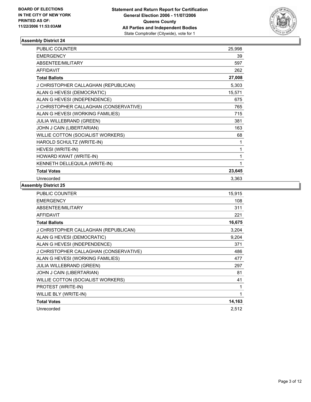

| <b>PUBLIC COUNTER</b>                  | 25,998 |  |
|----------------------------------------|--------|--|
| <b>EMERGENCY</b>                       | 39     |  |
| <b>ABSENTEE/MILITARY</b>               | 597    |  |
| <b>AFFIDAVIT</b>                       | 262    |  |
| <b>Total Ballots</b>                   | 27,008 |  |
| J CHRISTOPHER CALLAGHAN (REPUBLICAN)   | 5,303  |  |
| ALAN G HEVESI (DEMOCRATIC)             | 15,571 |  |
| ALAN G HEVESI (INDEPENDENCE)           | 675    |  |
| J CHRISTOPHER CALLAGHAN (CONSERVATIVE) | 765    |  |
| ALAN G HEVESI (WORKING FAMILIES)       | 715    |  |
| JULIA WILLEBRAND (GREEN)               | 381    |  |
| JOHN J CAIN (LIBERTARIAN)              | 163    |  |
| WILLIE COTTON (SOCIALIST WORKERS)      | 68     |  |
| HAROLD SCHULTZ (WRITE-IN)              |        |  |
| HEVESI (WRITE-IN)                      |        |  |
| HOWARD KWAIT (WRITE-IN)                |        |  |
| KENNETH DELLEQUILA (WRITE-IN)          |        |  |
| <b>Total Votes</b>                     | 23,645 |  |
| Unrecorded                             | 3,363  |  |

| <b>PUBLIC COUNTER</b>                  | 15,915 |
|----------------------------------------|--------|
| <b>EMERGENCY</b>                       | 108    |
| ABSENTEE/MILITARY                      | 311    |
| <b>AFFIDAVIT</b>                       | 221    |
| <b>Total Ballots</b>                   | 16,675 |
| J CHRISTOPHER CALLAGHAN (REPUBLICAN)   | 3,204  |
| ALAN G HEVESI (DEMOCRATIC)             | 9,204  |
| ALAN G HEVESI (INDEPENDENCE)           | 371    |
| J CHRISTOPHER CALLAGHAN (CONSERVATIVE) | 486    |
| ALAN G HEVESI (WORKING FAMILIES)       | 477    |
| <b>JULIA WILLEBRAND (GREEN)</b>        | 297    |
| JOHN J CAIN (LIBERTARIAN)              | 81     |
| WILLIE COTTON (SOCIALIST WORKERS)      | 41     |
| PROTEST (WRITE-IN)                     |        |
| WILLIE BLY (WRITE-IN)                  |        |
| <b>Total Votes</b>                     | 14,163 |
| Unrecorded                             | 2,512  |
|                                        |        |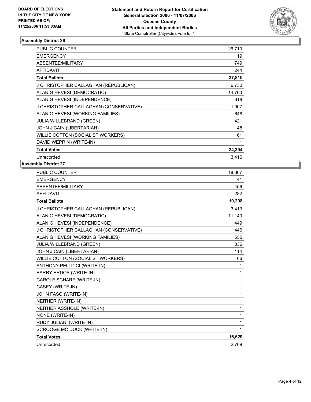

| PUBLIC COUNTER                         | 26,710 |
|----------------------------------------|--------|
| <b>EMERGENCY</b>                       | 19     |
| ABSENTEE/MILITARY                      | 749    |
| <b>AFFIDAVIT</b>                       | 244    |
| <b>Total Ballots</b>                   | 27,810 |
| J CHRISTOPHER CALLAGHAN (REPUBLICAN)   | 6,730  |
| ALAN G HEVESI (DEMOCRATIC)             | 14,760 |
| ALAN G HEVESI (INDEPENDENCE)           | 618    |
| J CHRISTOPHER CALLAGHAN (CONSERVATIVE) | 1,007  |
| ALAN G HEVESI (WORKING FAMILIES)       | 648    |
| <b>JULIA WILLEBRAND (GREEN)</b>        | 421    |
| JOHN J CAIN (LIBERTARIAN)              | 148    |
| WILLIE COTTON (SOCIALIST WORKERS)      | 61     |
| DAVID WEPRIN (WRITE-IN)                |        |
| <b>Total Votes</b>                     | 24,394 |
| Unrecorded                             | 3.416  |

| <b>PUBLIC COUNTER</b>                  | 18,367 |
|----------------------------------------|--------|
| <b>EMERGENCY</b>                       | 41     |
| ABSENTEE/MILITARY                      | 456    |
| <b>AFFIDAVIT</b>                       | 282    |
| <b>Total Ballots</b>                   | 19,298 |
| J CHRISTOPHER CALLAGHAN (REPUBLICAN)   | 3,413  |
| ALAN G HEVESI (DEMOCRATIC)             | 11,140 |
| ALAN G HEVESI (INDEPENDENCE)           | 449    |
| J CHRISTOPHER CALLAGHAN (CONSERVATIVE) | 446    |
| ALAN G HEVESI (WORKING FAMILIES)       | 555    |
| JULIA WILLEBRAND (GREEN)               | 336    |
| JOHN J CAIN (LIBERTARIAN)              | 114    |
| WILLIE COTTON (SOCIALIST WORKERS)      | 66     |
| <b>ANTHONY PELLICCI (WRITE-IN)</b>     | 1      |
| <b>BARRY ERDOS (WRITE-IN)</b>          | 1      |
| CAROLE SCHARF (WRITE-IN)               | 1      |
| CASEY (WRITE-IN)                       | 1      |
| JOHN FASO (WRITE-IN)                   | 1      |
| NEITHER (WRITE-IN)                     | 1      |
| NEITHER ASSHOLE (WRITE-IN)             | 1      |
| NONE (WRITE-IN)                        | 1      |
| RUDY JULIANI (WRITE-IN)                | 1      |
| SCROOGE MC DUCK (WRITE-IN)             | 1      |
| <b>Total Votes</b>                     | 16,529 |
| Unrecorded                             | 2.769  |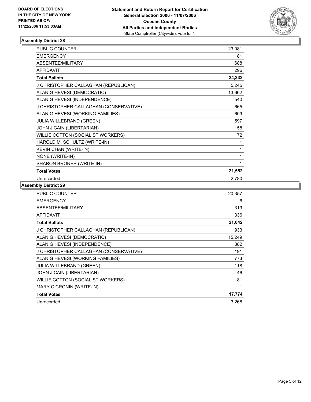

| <b>PUBLIC COUNTER</b>                  | 23,081 |
|----------------------------------------|--------|
| <b>EMERGENCY</b>                       | 81     |
| ABSENTEE/MILITARY                      | 688    |
| <b>AFFIDAVIT</b>                       | 296    |
| <b>Total Ballots</b>                   | 24,332 |
| J CHRISTOPHER CALLAGHAN (REPUBLICAN)   | 5,245  |
| ALAN G HEVESI (DEMOCRATIC)             | 13,662 |
| ALAN G HEVESI (INDEPENDENCE)           | 540    |
| J CHRISTOPHER CALLAGHAN (CONSERVATIVE) | 665    |
| ALAN G HEVESI (WORKING FAMILIES)       | 609    |
| <b>JULIA WILLEBRAND (GREEN)</b>        | 597    |
| JOHN J CAIN (LIBERTARIAN)              | 158    |
| WILLIE COTTON (SOCIALIST WORKERS)      | 72     |
| HAROLD M. SCHULTZ (WRITE-IN)           | 1      |
| KEVIN CHAN (WRITE-IN)                  | 1      |
| NONE (WRITE-IN)                        |        |
| SHARON BRONER (WRITE-IN)               |        |
| <b>Total Votes</b>                     | 21,552 |
| Unrecorded                             | 2,780  |

| <b>PUBLIC COUNTER</b>                  | 20,357 |
|----------------------------------------|--------|
| <b>EMERGENCY</b>                       | 6      |
| ABSENTEE/MILITARY                      | 319    |
| <b>AFFIDAVIT</b>                       | 336    |
| <b>Total Ballots</b>                   | 21,042 |
| J CHRISTOPHER CALLAGHAN (REPUBLICAN)   | 933    |
| ALAN G HEVESI (DEMOCRATIC)             | 15,249 |
| ALAN G HEVESI (INDEPENDENCE)           | 382    |
| J CHRISTOPHER CALLAGHAN (CONSERVATIVE) | 191    |
| ALAN G HEVESI (WORKING FAMILIES)       | 773    |
| <b>JULIA WILLEBRAND (GREEN)</b>        | 118    |
| JOHN J CAIN (LIBERTARIAN)              | 46     |
| WILLIE COTTON (SOCIALIST WORKERS)      | 81     |
| MARY C CRONIN (WRITE-IN)               |        |
| <b>Total Votes</b>                     | 17,774 |
| Unrecorded                             | 3.268  |
|                                        |        |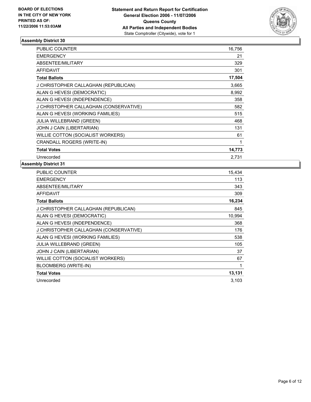

| <b>PUBLIC COUNTER</b>                  | 16,756 |
|----------------------------------------|--------|
| <b>EMERGENCY</b>                       | 21     |
| ABSENTEE/MILITARY                      | 329    |
| <b>AFFIDAVIT</b>                       | 301    |
| <b>Total Ballots</b>                   | 17,504 |
| J CHRISTOPHER CALLAGHAN (REPUBLICAN)   | 3,665  |
| ALAN G HEVESI (DEMOCRATIC)             | 8,992  |
| ALAN G HEVESI (INDEPENDENCE)           | 358    |
| J CHRISTOPHER CALLAGHAN (CONSERVATIVE) | 582    |
| ALAN G HEVESI (WORKING FAMILIES)       | 515    |
| <b>JULIA WILLEBRAND (GREEN)</b>        | 468    |
| JOHN J CAIN (LIBERTARIAN)              | 131    |
| WILLIE COTTON (SOCIALIST WORKERS)      | 61     |
| CRANDALL ROGERS (WRITE-IN)             |        |
| <b>Total Votes</b>                     | 14,773 |
| Unrecorded                             | 2.731  |

| <b>PUBLIC COUNTER</b>                  | 15,434 |
|----------------------------------------|--------|
| <b>EMERGENCY</b>                       | 113    |
| ABSENTEE/MILITARY                      | 343    |
| <b>AFFIDAVIT</b>                       | 309    |
| <b>Total Ballots</b>                   | 16,234 |
| J CHRISTOPHER CALLAGHAN (REPUBLICAN)   | 845    |
| ALAN G HEVESI (DEMOCRATIC)             | 10.994 |
| ALAN G HEVESI (INDEPENDENCE)           | 368    |
| J CHRISTOPHER CALLAGHAN (CONSERVATIVE) | 176    |
| ALAN G HEVESI (WORKING FAMILIES)       | 538    |
| <b>JULIA WILLEBRAND (GREEN)</b>        | 105    |
| JOHN J CAIN (LIBERTARIAN)              | 37     |
| WILLIE COTTON (SOCIALIST WORKERS)      | 67     |
| <b>BLOOMBERG (WRITE-IN)</b>            |        |
| <b>Total Votes</b>                     | 13,131 |
| Unrecorded                             | 3,103  |
|                                        |        |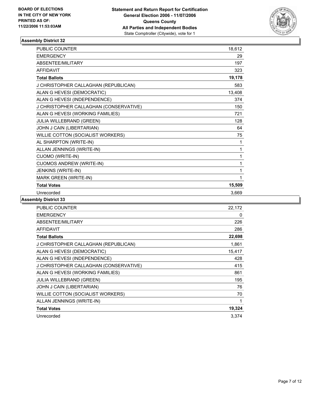

| <b>PUBLIC COUNTER</b>                  | 18,612 |  |
|----------------------------------------|--------|--|
| <b>EMERGENCY</b>                       | 29     |  |
| ABSENTEE/MILITARY                      | 197    |  |
| <b>AFFIDAVIT</b>                       | 323    |  |
| <b>Total Ballots</b>                   | 19,178 |  |
| J CHRISTOPHER CALLAGHAN (REPUBLICAN)   | 583    |  |
| ALAN G HEVESI (DEMOCRATIC)             | 13,408 |  |
| ALAN G HEVESI (INDEPENDENCE)           | 374    |  |
| J CHRISTOPHER CALLAGHAN (CONSERVATIVE) | 150    |  |
| ALAN G HEVESI (WORKING FAMILIES)       | 721    |  |
| JULIA WILLEBRAND (GREEN)               | 128    |  |
| JOHN J CAIN (LIBERTARIAN)              | 64     |  |
| WILLIE COTTON (SOCIALIST WORKERS)      | 75     |  |
| AL SHARPTON (WRITE-IN)                 | 1      |  |
| ALLAN JENNINGS (WRITE-IN)              | 1      |  |
| <b>CUOMO (WRITE-IN)</b>                | 1      |  |
| <b>CUOMOS ANDREW (WRITE-IN)</b>        |        |  |
| JENKINS (WRITE-IN)                     | 1      |  |
| MARK GREEN (WRITE-IN)                  | 1      |  |
| <b>Total Votes</b>                     | 15,509 |  |
| Unrecorded                             | 3,669  |  |

| PUBLIC COUNTER                         | 22,172 |
|----------------------------------------|--------|
| <b>EMERGENCY</b>                       | 0      |
| ABSENTEE/MILITARY                      | 226    |
| <b>AFFIDAVIT</b>                       | 286    |
| <b>Total Ballots</b>                   | 22,698 |
| J CHRISTOPHER CALLAGHAN (REPUBLICAN)   | 1,861  |
| ALAN G HEVESI (DEMOCRATIC)             | 15,417 |
| ALAN G HEVESI (INDEPENDENCE)           | 428    |
| J CHRISTOPHER CALLAGHAN (CONSERVATIVE) | 415    |
| ALAN G HEVESI (WORKING FAMILIES)       | 861    |
| <b>JULIA WILLEBRAND (GREEN)</b>        | 195    |
| JOHN J CAIN (LIBERTARIAN)              | 76     |
| WILLIE COTTON (SOCIALIST WORKERS)      | 70     |
| ALLAN JENNINGS (WRITE-IN)              |        |
| <b>Total Votes</b>                     | 19,324 |
| Unrecorded                             | 3,374  |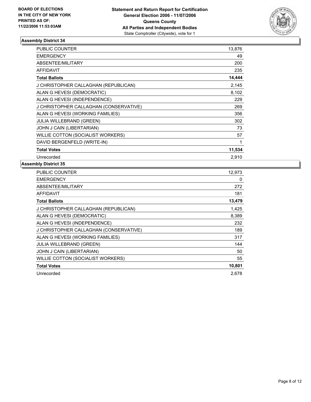

| <b>PUBLIC COUNTER</b>                  | 13,876 |
|----------------------------------------|--------|
| <b>EMERGENCY</b>                       | 49     |
| ABSENTEE/MILITARY                      | 200    |
| <b>AFFIDAVIT</b>                       | 235    |
| <b>Total Ballots</b>                   | 14,444 |
| J CHRISTOPHER CALLAGHAN (REPUBLICAN)   | 2,145  |
| ALAN G HEVESI (DEMOCRATIC)             | 8,102  |
| ALAN G HEVESI (INDEPENDENCE)           | 229    |
| J CHRISTOPHER CALLAGHAN (CONSERVATIVE) | 269    |
| ALAN G HEVESI (WORKING FAMILIES)       | 356    |
| <b>JULIA WILLEBRAND (GREEN)</b>        | 302    |
| JOHN J CAIN (LIBERTARIAN)              | 73     |
| WILLIE COTTON (SOCIALIST WORKERS)      | 57     |
| DAVID BERGENFELD (WRITE-IN)            |        |
| <b>Total Votes</b>                     | 11,534 |
| Unrecorded                             | 2,910  |

| PUBLIC COUNTER                         | 12,973 |
|----------------------------------------|--------|
| <b>EMERGENCY</b>                       | 0      |
| ABSENTEE/MILITARY                      | 272    |
| <b>AFFIDAVIT</b>                       | 181    |
| <b>Total Ballots</b>                   | 13,479 |
| J CHRISTOPHER CALLAGHAN (REPUBLICAN)   | 1,425  |
| ALAN G HEVESI (DEMOCRATIC)             | 8,389  |
| ALAN G HEVESI (INDEPENDENCE)           | 232    |
| J CHRISTOPHER CALLAGHAN (CONSERVATIVE) | 189    |
| ALAN G HEVESI (WORKING FAMILIES)       | 317    |
| JULIA WILLEBRAND (GREEN)               | 144    |
| JOHN J CAIN (LIBERTARIAN)              | 50     |
| WILLIE COTTON (SOCIALIST WORKERS)      | 55     |
| <b>Total Votes</b>                     | 10,801 |
| Unrecorded                             | 2,678  |
|                                        |        |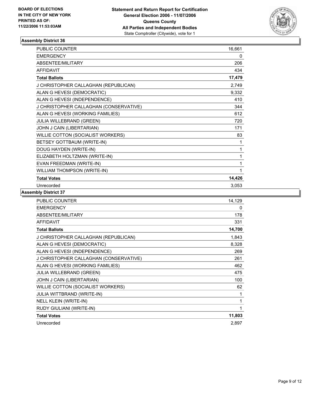

| PUBLIC COUNTER                         | 16,661 |
|----------------------------------------|--------|
| <b>EMERGENCY</b>                       | 0      |
| ABSENTEE/MILITARY                      | 206    |
| <b>AFFIDAVIT</b>                       | 434    |
| <b>Total Ballots</b>                   | 17,479 |
| J CHRISTOPHER CALLAGHAN (REPUBLICAN)   | 2,749  |
| ALAN G HEVESI (DEMOCRATIC)             | 9,332  |
| ALAN G HEVESI (INDEPENDENCE)           | 410    |
| J CHRISTOPHER CALLAGHAN (CONSERVATIVE) | 344    |
| ALAN G HEVESI (WORKING FAMILIES)       | 612    |
| JULIA WILLEBRAND (GREEN)               | 720    |
| JOHN J CAIN (LIBERTARIAN)              | 171    |
| WILLIE COTTON (SOCIALIST WORKERS)      | 83     |
| BETSEY GOTTBAUM (WRITE-IN)             | 1      |
| DOUG HAYDEN (WRITE-IN)                 | 1      |
| ELIZABETH HOLTZMAN (WRITE-IN)          |        |
| EVAN FREEDMAN (WRITE-IN)               |        |
| WILLIAM THOMPSON (WRITE-IN)            |        |
| <b>Total Votes</b>                     | 14,426 |
| Unrecorded                             | 3,053  |

| <b>PUBLIC COUNTER</b>                  | 14,129 |
|----------------------------------------|--------|
| <b>EMERGENCY</b>                       | 0      |
| ABSENTEE/MILITARY                      | 178    |
| <b>AFFIDAVIT</b>                       | 331    |
| <b>Total Ballots</b>                   | 14,700 |
| J CHRISTOPHER CALLAGHAN (REPUBLICAN)   | 1,843  |
| ALAN G HEVESI (DEMOCRATIC)             | 8,328  |
| ALAN G HEVESI (INDEPENDENCE)           | 269    |
| J CHRISTOPHER CALLAGHAN (CONSERVATIVE) | 261    |
| ALAN G HEVESI (WORKING FAMILIES)       | 462    |
| <b>JULIA WILLEBRAND (GREEN)</b>        | 475    |
| JOHN J CAIN (LIBERTARIAN)              | 100    |
| WILLIE COTTON (SOCIALIST WORKERS)      | 62     |
| JULIA WITTBRAND (WRITE-IN)             |        |
| <b>NELL KLEIN (WRITE-IN)</b>           |        |
| RUDY GIULIANI (WRITE-IN)               | 1      |
| <b>Total Votes</b>                     | 11,803 |
| Unrecorded                             | 2,897  |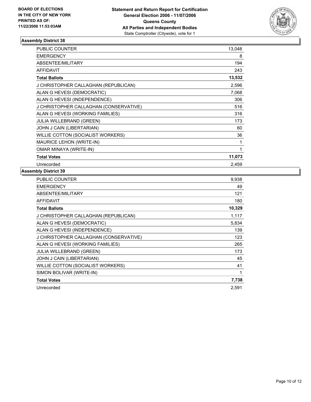

| <b>PUBLIC COUNTER</b>                  | 13,048 |
|----------------------------------------|--------|
| <b>EMERGENCY</b>                       | 8      |
| ABSENTEE/MILITARY                      | 194    |
| <b>AFFIDAVIT</b>                       | 243    |
| <b>Total Ballots</b>                   | 13,532 |
| J CHRISTOPHER CALLAGHAN (REPUBLICAN)   | 2,596  |
| ALAN G HEVESI (DEMOCRATIC)             | 7,068  |
| ALAN G HEVESI (INDEPENDENCE)           | 306    |
| J CHRISTOPHER CALLAGHAN (CONSERVATIVE) | 516    |
| ALAN G HEVESI (WORKING FAMILIES)       | 316    |
| <b>JULIA WILLEBRAND (GREEN)</b>        | 173    |
| JOHN J CAIN (LIBERTARIAN)              | 60     |
| WILLIE COTTON (SOCIALIST WORKERS)      | 36     |
| <b>MAURICE LEHON (WRITE-IN)</b>        |        |
| OMAR MINAYA (WRITE-IN)                 |        |
| <b>Total Votes</b>                     | 11,073 |
| Unrecorded                             | 2,459  |

| PUBLIC COUNTER                         | 9,938  |
|----------------------------------------|--------|
| <b>EMERGENCY</b>                       | 49     |
| ABSENTEE/MILITARY                      | 121    |
| AFFIDAVIT                              | 180    |
| <b>Total Ballots</b>                   | 10,329 |
| J CHRISTOPHER CALLAGHAN (REPUBLICAN)   | 1,117  |
| ALAN G HEVESI (DEMOCRATIC)             | 5,834  |
| ALAN G HEVESI (INDEPENDENCE)           | 139    |
| J CHRISTOPHER CALLAGHAN (CONSERVATIVE) | 123    |
| ALAN G HEVESI (WORKING FAMILIES)       | 265    |
| <b>JULIA WILLEBRAND (GREEN)</b>        | 173    |
| JOHN J CAIN (LIBERTARIAN)              | 45     |
| WILLIE COTTON (SOCIALIST WORKERS)      | 41     |
| SIMON BOLIVAR (WRITE-IN)               |        |
| <b>Total Votes</b>                     | 7,738  |
| Unrecorded                             | 2,591  |
|                                        |        |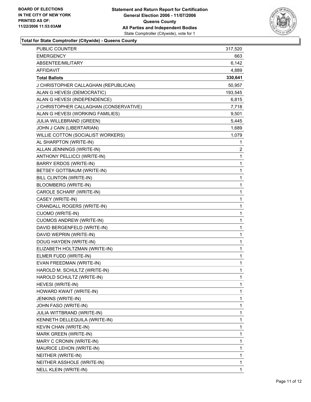

**Total for State Comptroller (Citywide) - Queens County**

| <b>PUBLIC COUNTER</b>                  | 317,520                 |  |
|----------------------------------------|-------------------------|--|
| <b>EMERGENCY</b>                       | 663                     |  |
| ABSENTEE/MILITARY                      | 6,142                   |  |
| <b>AFFIDAVIT</b>                       | 4,889                   |  |
| <b>Total Ballots</b>                   | 330,641                 |  |
| J CHRISTOPHER CALLAGHAN (REPUBLICAN)   | 50,957                  |  |
| ALAN G HEVESI (DEMOCRATIC)             | 193,545                 |  |
| ALAN G HEVESI (INDEPENDENCE)           | 6,815                   |  |
| J CHRISTOPHER CALLAGHAN (CONSERVATIVE) | 7,718                   |  |
| ALAN G HEVESI (WORKING FAMILIES)       | 9,501                   |  |
| <b>JULIA WILLEBRAND (GREEN)</b>        | 5,445                   |  |
| JOHN J CAIN (LIBERTARIAN)              | 1,689                   |  |
| WILLIE COTTON (SOCIALIST WORKERS)      | 1,079                   |  |
| AL SHARPTON (WRITE-IN)                 | 1                       |  |
| ALLAN JENNINGS (WRITE-IN)              | $\overline{\mathbf{c}}$ |  |
| ANTHONY PELLICCI (WRITE-IN)            | $\mathbf 1$             |  |
| <b>BARRY ERDOS (WRITE-IN)</b>          | 1                       |  |
| BETSEY GOTTBAUM (WRITE-IN)             | 1                       |  |
| BILL CLINTON (WRITE-IN)                | 1                       |  |
| <b>BLOOMBERG (WRITE-IN)</b>            | 1                       |  |
| CAROLE SCHARF (WRITE-IN)               | 1                       |  |
| CASEY (WRITE-IN)                       | $\mathbf 1$             |  |
| CRANDALL ROGERS (WRITE-IN)             | 1                       |  |
| <b>CUOMO (WRITE-IN)</b>                | 1                       |  |
| <b>CUOMOS ANDREW (WRITE-IN)</b>        | 1                       |  |
| DAVID BERGENFELD (WRITE-IN)            | 1                       |  |
| DAVID WEPRIN (WRITE-IN)                | 1                       |  |
| DOUG HAYDEN (WRITE-IN)                 | 1                       |  |
| ELIZABETH HOLTZMAN (WRITE-IN)          | 1                       |  |
| ELMER FUDD (WRITE-IN)                  | 1                       |  |
| EVAN FREEDMAN (WRITE-IN)               | 1                       |  |
| HAROLD M. SCHULTZ (WRITE-IN)           | 1                       |  |
| HAROLD SCHULTZ (WRITE-IN)              | 1                       |  |
| HEVESI (WRITE-IN)                      | 1                       |  |
| HOWARD KWAIT (WRITE-IN)                | 1                       |  |
| JENKINS (WRITE-IN)                     | 1                       |  |
| JOHN FASO (WRITE-IN)                   | 1                       |  |
| JULIA WITTBRAND (WRITE-IN)             | 1                       |  |
| KENNETH DELLEQUILA (WRITE-IN)          | 1                       |  |
| KEVIN CHAN (WRITE-IN)                  | 1                       |  |
| MARK GREEN (WRITE-IN)                  | 1                       |  |
| MARY C CRONIN (WRITE-IN)               | 1                       |  |
| MAURICE LEHON (WRITE-IN)               | 1                       |  |
| NEITHER (WRITE-IN)                     | 1                       |  |
| NEITHER ASSHOLE (WRITE-IN)             | 1                       |  |
| NELL KLEIN (WRITE-IN)                  | 1                       |  |